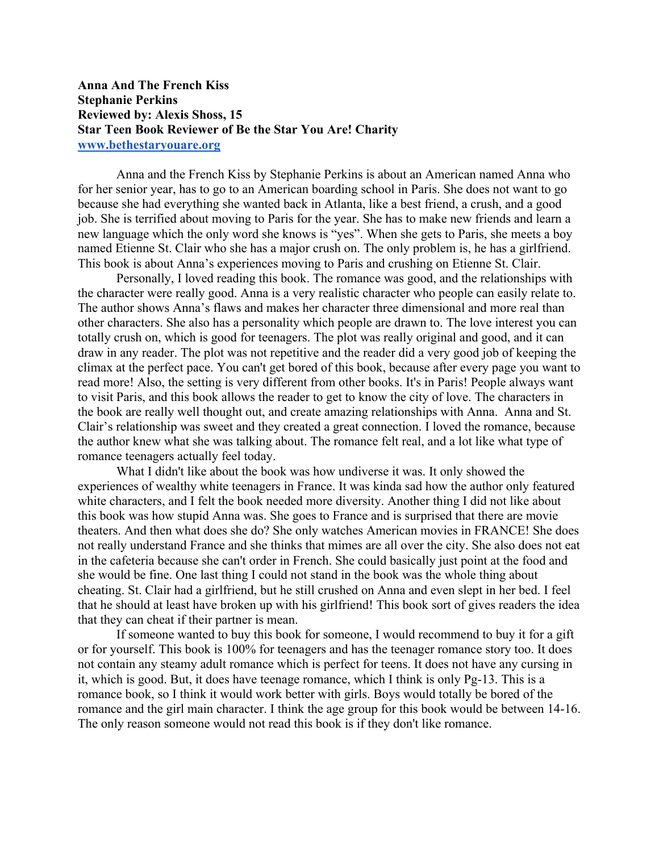## **Anna And The French Kiss Stephanie Perkins Reviewed by: Alexis Shoss, 15 Star Teen Book Reviewer of Be the Star You Are! Charity www.bethestaryouare.org**

Anna and the French Kiss by Stephanie Perkins is about an American named Anna who for her senior year, has to go to an American boarding school in Paris. She does not want to go because she had everything she wanted back in Atlanta, like a best friend, a crush, and a good job. She is terrified about moving to Paris for the year. She has to make new friends and learn a new language which the only word she knows is "yes". When she gets to Paris, she meets a boy named Etienne St. Clair who she has a major crush on. The only problem is, he has a girlfriend. This book is about Anna's experiences moving to Paris and crushing on Etienne St. Clair.

Personally, I loved reading this book. The romance was good, and the relationships with the character were really good. Anna is a very realistic character who people can easily relate to. The author shows Anna's flaws and makes her character three dimensional and more real than other characters. She also has a personality which people are drawn to. The love interest you can totally crush on, which is good for teenagers. The plot was really original and good, and it can draw in any reader. The plot was not repetitive and the reader did a very good job of keeping the climax at the perfect pace. You can't get bored of this book, because after every page you want to read more! Also, the setting is very different from other books. It's in Paris! People always want to visit Paris, and this book allows the reader to get to know the city of love. The characters in the book are really well thought out, and create amazing relationships with Anna. Anna and St. Clair's relationship was sweet and they created a great connection. I loved the romance, because the author knew what she was talking about. The romance felt real, and a lot like what type of romance teenagers actually feel today.

What I didn't like about the book was how undiverse it was. It only showed the experiences of wealthy white teenagers in France. It was kinda sad how the author only featured white characters, and I felt the book needed more diversity. Another thing I did not like about this book was how stupid Anna was. She goes to France and is surprised that there are movie theaters. And then what does she do? She only watches American movies in FRANCE! She does not really understand France and she thinks that mimes are all over the city. She also does not eat in the cafeteria because she can't order in French. She could basically just point at the food and she would be fine. One last thing I could not stand in the book was the whole thing about cheating. St. Clair had a girlfriend, but he still crushed on Anna and even slept in her bed. I feel that he should at least have broken up with his girlfriend! This book sort of gives readers the idea that they can cheat if their partner is mean.

If someone wanted to buy this book for someone, I would recommend to buy it for a gift or for yourself. This book is 100% for teenagers and has the teenager romance story too. It does not contain any steamy adult romance which is perfect for teens. It does not have any cursing in it, which is good. But, it does have teenage romance, which I think is only Pg-13. This is a romance book, so I think it would work better with girls. Boys would totally be bored of the romance and the girl main character. I think the age group for this book would be between 14-16. The only reason someone would not read this book is if they don't like romance.